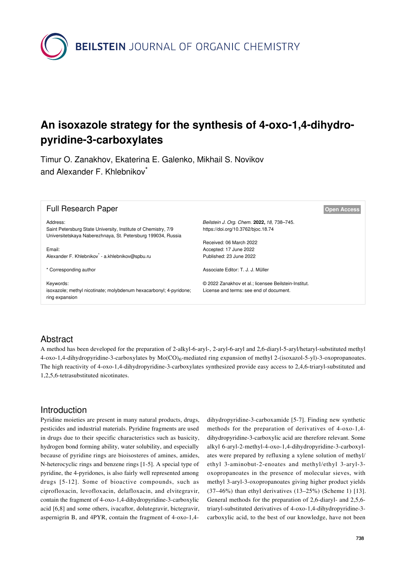**BEILSTEIN** JOURNAL OF ORGANIC CHEMISTRY

# **An isoxazole strategy for the synthesis of 4-oxo-1,4-dihydropyridine-3-carboxylates**

Timur O. Zanakhov, Ekaterina E. Galenko, Mikhail S. Novikov and Alexander F. Khlebnikov<sup>\*</sup>

| <b>Full Research Paper</b>                                                                                                                 | <b>Open Access</b>                                                                              |  |
|--------------------------------------------------------------------------------------------------------------------------------------------|-------------------------------------------------------------------------------------------------|--|
| Address:<br>Saint Petersburg State University, Institute of Chemistry, 7/9<br>Universitetskaya Naberezhnaya, St. Petersburg 199034, Russia | Beilstein J. Org. Chem. 2022, 18, 738-745.<br>https://doi.org/10.3762/bjoc.18.74                |  |
| Email:<br>Alexander F. Khlebnikov - a.khlebnikov@spbu.ru                                                                                   | Received: 06 March 2022<br>Accepted: 17 June 2022<br>Published: 23 June 2022                    |  |
| * Corresponding author                                                                                                                     | Associate Editor: T. J. J. Müller                                                               |  |
| Keywords:<br>isoxazole; methyl nicotinate; molybdenum hexacarbonyl; 4-pyridone;<br>ring expansion                                          | © 2022 Zanakhov et al.; licensee Beilstein-Institut.<br>License and terms: see end of document. |  |

## Abstract

A method has been developed for the preparation of 2-alkyl-6-aryl-, 2-aryl-6-aryl and 2,6-diaryl-5-aryl/hetaryl-substituted methyl 4-oxo-1,4-dihydropyridine-3-carboxylates by  $Mo(CO)_{6}$ -mediated ring expansion of methyl 2-(isoxazol-5-yl)-3-oxopropanoates. The high reactivity of 4-oxo-1,4-dihydropyridine-3-carboxylates synthesized provide easy access to 2,4,6-triaryl-substituted and 1,2,5,6-tetrasubstituted nicotinates.

### Introduction

Pyridine moieties are present in many natural products, drugs, pesticides and industrial materials. Pyridine fragments are used in drugs due to their specific characteristics such as basicity, hydrogen bond forming ability, water solubility, and especially because of pyridine rings are bioisosteres of amines, amides, N-heterocyclic rings and benzene rings [\[1-5\]](#page-6-0). A special type of pyridine, the 4-pyridones, is also fairly well represented among drugs [\[5-12\]](#page-6-1). Some of bioactive compounds, such as ciprofloxacin, levofloxacin, delafloxacin, and elvitegravir, contain the fragment of 4-oxo-1,4-dihydropyridine-3-carboxylic acid [\[6,8\]](#page-6-2) and some others, ivacaftor, dolutegravir, bictegravir, aspernigrin B, and 4PYR, contain the fragment of 4-oxo-1,4-

dihydropyridine-3-carboxamide [\[5-7\]](#page-6-1). Finding new synthetic methods for the preparation of derivatives of 4-oxo-1,4 dihydropyridine-3-carboxylic acid are therefore relevant. Some alkyl 6-aryl-2-methyl-4-oxo-1,4-dihydropyridine-3-carboxylates were prepared by refluxing a xylene solution of methyl/ ethyl 3-aminobut-2-enoates and methyl/ethyl 3-aryl-3 oxopropanoates in the presence of molecular sieves, with methyl 3-aryl-3-oxopropanoates giving higher product yields (37–46%) than ethyl derivatives (13–25%) ([Scheme 1](#page-1-0)) [\[13\]](#page-6-3). General methods for the preparation of 2,6-diaryl- and 2,5,6 triaryl-substituted derivatives of 4-oxo-1,4-dihydropyridine-3 carboxylic acid, to the best of our knowledge, have not been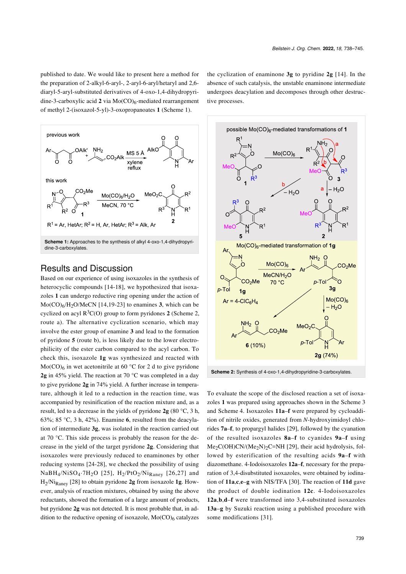published to date. We would like to present here a method for the preparation of 2-alkyl-6-aryl-, 2-aryl-6-aryl/hetaryl and 2,6 diaryl-5-aryl-substituted derivatives of 4-oxo-1,4-dihydropyridine-3-carboxylic acid 2 via Mo(CO)<sub>6</sub>-mediated rearrangement of methyl 2-(isoxazol-5-yl)-3-oxopropanoates **1** ([Scheme 1\)](#page-1-0).

<span id="page-1-0"></span>

### Results and Discussion

Based on our experience of using isoxazoles in the synthesis of heterocyclic compounds [\[14-18\]](#page-6-4), we hypothesized that isoxazoles **1** can undergo reductive ring opening under the action of Mo(CO)6/H2O/MeCN [\[14,19-23\]](#page-6-4) to enamines **3**, which can be cyclized on acyl  $R^3C(O)$  group to form pyridones 2 [\(Scheme 2](#page-1-1), route a). The alternative cyclization scenario, which may involve the ester group of enamine **3** and lead to the formation of pyridone **5** (route b), is less likely due to the lower electrophilicity of the ester carbon compared to the acyl carbon. To check this, isoxazole **1g** was synthesized and reacted with  $Mo(CO)<sub>6</sub>$  in wet acetonitrile at 60 °C for 2 d to give pyridone **2g** in 45% yield. The reaction at 70 °C was completed in a day to give pyridone **2g** in 74% yield. A further increase in temperature, although it led to a reduction in the reaction time, was accompanied by resinification of the reaction mixture and, as a result, led to a decrease in the yields of pyridone **2g** (80 °C, 3 h, 63%; 85 °C, 3 h, 42%). Enamine **6**, resulted from the deacylation of intermediate **3g**, was isolated in the reaction carried out at 70 °C. This side process is probably the reason for the decrease in the yield of the target pyridone **2g**. Considering that isoxazoles were previously reduced to enaminones by other reducing systems [\[24-28\]](#page-7-0), we checked the possibility of using  $NaBH_4/NiSO_4·7H_2O$  [\[25\]](#page-7-1),  $H_2/PtO_2/Ni_{Raney}$  [\[26,27\]](#page-7-2) and H2 /NiRaney [\[28\]](#page-7-3) to obtain pyridone **2g** from isoxazole **1g**. However, analysis of reaction mixtures, obtained by using the above reductants, showed the formation of a large amount of products, but pyridone **2g** was not detected. It is most probable that, in addition to the reductive opening of isoxazole, Mo(CO)<sub>6</sub> catalyzes

the cyclization of enaminone **3g** to pyridine **2g** [\[14\]](#page-6-4). In the absence of such catalysis, the unstable enaminone intermediate undergoes deacylation and decomposes through other destructive processes.

<span id="page-1-1"></span>

**Scheme 2:** Synthesis of 4-oxo-1,4-dihydropyridine-3-carboxylates.

To evaluate the scope of the disclosed reaction a set of isoxazoles **1** was prepared using approaches shown in the [Scheme 3](#page-2-0) and [Scheme 4](#page-3-0). Isoxazoles **11a**–**f** were prepared by cycloaddition of nitrile oxides, generated from *N*-hydroxyimidoyl chlorides **7a**–**f**, to propargyl halides [\[29\],](#page-7-4) followed by the cyanation of the resulted isoxazoles **8a**–**f** to cyanides **9a**–**f** using Me<sub>2</sub>C(OH)CN/(Me<sub>2</sub>N)<sub>2</sub>C=NH [\[29\]](#page-7-4), their acid hydrolysis, followed by esterification of the resulting acids **9a**–**f** with diazomethane. 4-Iodoisoxazoles **12a**–**f**, necessary for the preparation of 3,4-disubstituted isoxazoles, were obtained by iodination of **11a**,**c**,**e**–**g** with NIS/TFA [\[30\].](#page-7-5) The reaction of **11d** gave the product of double iodination **12c**. 4-Iodoisoxazoles **12a**,**b**,**d**–**f** were transformed into 3,4-substituted isoxazoles **13a**–**g** by Suzuki reaction using a published procedure with some modifications [\[31\]](#page-7-6).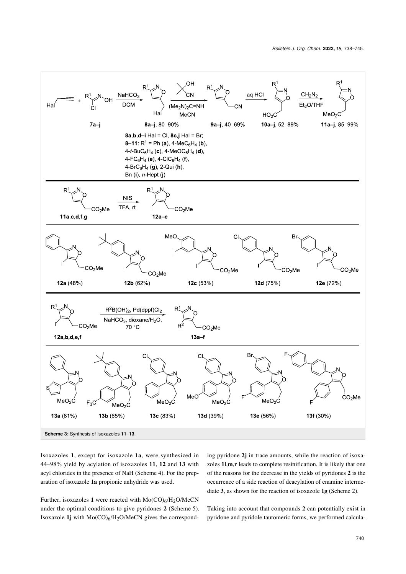<span id="page-2-0"></span>

Isoxazoles **1**, except for isoxazole **1a**, were synthesized in 44–98% yield by acylation of isoxazoles **11**, **12** and **13** with acyl chlorides in the presence of NaH [\(Scheme 4](#page-3-0)). For the preparation of isoxazole **1a** propionic anhydride was used.

Further, isoxazoles 1 were reacted with  $Mo(CO)_{6}/H_{2}O/MeCN$ under the optimal conditions to give pyridones **2** [\(Scheme 5\)](#page-4-0). Isoxazole **1j** with Mo(CO)<sup>6</sup> /H2O/MeCN gives the correspond-

ing pyridone **2j** in trace amounts, while the reaction of isoxazoles **1l**,**m**,**r** leads to complete resinification. It is likely that one of the reasons for the decrease in the yields of pyridones **2** is the occurrence of a side reaction of deacylation of enamine intermediate **3**, as shown for the reaction of isoxazole **1g** [\(Scheme 2](#page-1-1)).

Taking into account that compounds **2** can potentially exist in pyridone and pyridole tautomeric forms, we performed calcula-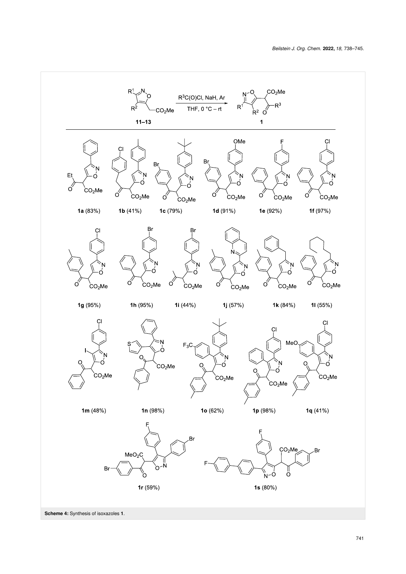<span id="page-3-0"></span>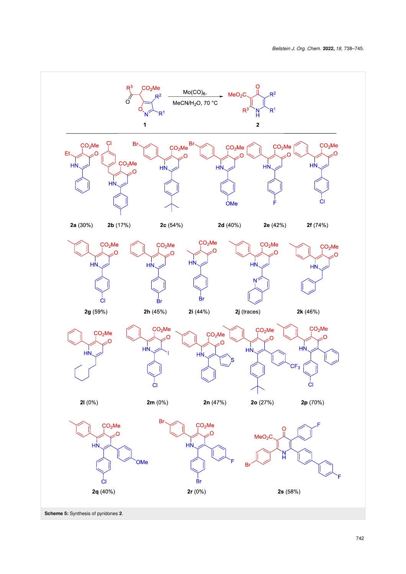<span id="page-4-0"></span>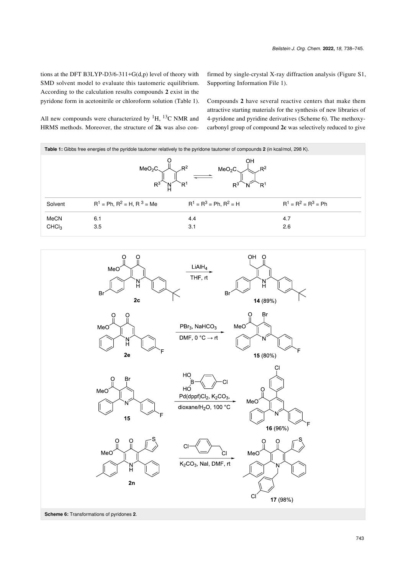tions at the DFT B3LYP-D3/6-311+G(d,p) level of theory with SMD solvent model to evaluate this tautomeric equilibrium. According to the calculation results compounds **2** exist in the pyridone form in acetonitrile or chloroform solution ([Table 1\)](#page-5-0).

All new compounds were characterized by  ${}^{1}H$ ,  ${}^{13}C$  NMR and HRMS methods. Moreover, the structure of **2k** was also confirmed by single-crystal X-ray diffraction analysis (Figure S1, [Supporting Information File 1\)](#page-6-5).

Compounds **2** have several reactive centers that make them attractive starting materials for the synthesis of new libraries of 4-pyridone and pyridine derivatives [\(Scheme 6](#page-5-1)). The methoxycarbonyl group of compound **2c** was selectively reduced to give

<span id="page-5-0"></span>

| <b>Table 1:</b> Gibbs free energies of the pyridole tautomer relatively to the pyridone tautomer of compounds 2 (in kcal/mol, 298 K). |                                    |                              |                        |  |
|---------------------------------------------------------------------------------------------------------------------------------------|------------------------------------|------------------------------|------------------------|--|
| MeO <sub>2</sub> C<br>MeO <sub>2</sub> C<br>R<br>R<br>R.                                                                              |                                    |                              |                        |  |
| Solvent                                                                                                                               | $R^1$ = Ph, $R^2$ = H, R $^3$ = Me | $R^1 = R^3 = Ph$ , $R^2 = H$ | $R^1 = R^2 = R^3 = Ph$ |  |
| <b>MeCN</b>                                                                                                                           | 6.1                                | 4.4                          | 4.7                    |  |
| CHCl <sub>3</sub>                                                                                                                     | 3.5                                | 3.1                          | 2.6                    |  |

<span id="page-5-1"></span>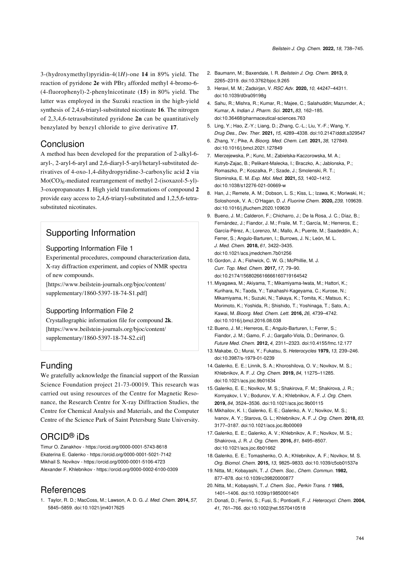3-(hydroxymethyl)pyridin-4(1*H*)-one **14** in 89% yield. The reaction of pyridone 2e with PBr<sub>3</sub> afforded methyl 4-bromo-6-(4-fluorophenyl)-2-phenylnicotinate (**15**) in 80% yield. The latter was employed in the Suzuki reaction in the high-yield synthesis of 2,4,6-triaryl-substituted nicotinate **16**. The nitrogen of 2,3,4,6-tetrasubstituted pyridone **2n** can be quantitatively benzylated by benzyl chloride to give derivative **17**.

### **Conclusion**

A method has been developed for the preparation of 2-alkyl-6 aryl-, 2-aryl-6-aryl and 2,6-diaryl-5-aryl/hetaryl-substituted derivatives of 4-oxo-1,4-dihydropyridine-3-carboxylic acid **2** via  $Mo(CO)<sub>6</sub>$ -mediated rearrangement of methyl 2-(isoxazol-5-yl)-3-oxopropanoates **1**. High yield transformations of compound **2** provide easy access to 2,4,6-triaryl-substituted and 1,2,5,6-tetrasubstituted nicotinates.

# Supporting Information

#### <span id="page-6-5"></span>Supporting Information File 1

Experimental procedures, compound characterization data, X-ray diffraction experiment, and copies of NMR spectra of new compounds.

[\[https://www.beilstein-journals.org/bjoc/content/](https://www.beilstein-journals.org/bjoc/content/supplementary/1860-5397-18-74-S1.pdf) [supplementary/1860-5397-18-74-S1.pdf\]](https://www.beilstein-journals.org/bjoc/content/supplementary/1860-5397-18-74-S1.pdf)

#### Supporting Information File 2

Crystallographic information file for compound **2k**. [\[https://www.beilstein-journals.org/bjoc/content/](https://www.beilstein-journals.org/bjoc/content/supplementary/1860-5397-18-74-S2.cif) [supplementary/1860-5397-18-74-S2.cif\]](https://www.beilstein-journals.org/bjoc/content/supplementary/1860-5397-18-74-S2.cif)

# Funding

We gratefully acknowledge the financial support of the Russian Science Foundation project 21-73-00019. This research was carried out using resources of the Centre for Magnetic Resonance, the Research Centre for X-ray Diffraction Studies, the Centre for Chemical Analysis and Materials, and the Computer Centre of the Science Park of Saint Petersburg State University.

# ORCID® iDs

Timur O. Zanakhov - <https://orcid.org/0000-0001-5743-8618> Ekaterina E. Galenko - <https://orcid.org/0000-0001-5021-7142> Mikhail S. Novikov - <https://orcid.org/0000-0001-5106-4723> Alexander F. Khlebnikov - <https://orcid.org/0000-0002-6100-0309>

### References

<span id="page-6-0"></span>1. Taylor, R. D.; MacCoss, M.; Lawson, A. D. G. *J. Med. Chem.* **2014,** *57,* 5845–5859. [doi:10.1021/jm4017625](https://doi.org/10.1021%2Fjm4017625)

- 2. Baumann, M.; Baxendale, I. R. *Beilstein J. Org. Chem.* **2013,** *9,* 2265–2319. [doi:10.3762/bjoc.9.265](https://doi.org/10.3762%2Fbjoc.9.265)
- 3. Heravi, M. M.; Zadsirjan, V. *RSC Adv.* **2020,** *10,* 44247–44311. [doi:10.1039/d0ra09198g](https://doi.org/10.1039%2Fd0ra09198g)
- 4. Sahu, R.; Mishra, R.; Kumar, R.; Majee, C.; Salahuddin; Mazumder, A.; Kumar, A. *Indian J. Pharm. Sci.* **2021,** *83,* 162–185. [doi:10.36468/pharmaceutical-sciences.763](https://doi.org/10.36468%2Fpharmaceutical-sciences.763)
- <span id="page-6-1"></span>5. Ling, Y.; Hao, Z.-Y.; Liang, D.; Zhang, C.-L.; Liu, Y.-F.; Wang, Y. *Drug Des., Dev. Ther.* **2021,** *15,* 4289–4338. [doi:10.2147/dddt.s329547](https://doi.org/10.2147%2Fdddt.s329547)
- <span id="page-6-2"></span>6. Zhang, Y.; Pike, A. *Bioorg. Med. Chem. Lett.* **2021,** *38,* 127849. [doi:10.1016/j.bmcl.2021.127849](https://doi.org/10.1016%2Fj.bmcl.2021.127849)
- 7. Mierzejewska, P.; Kunc, M.; Zabielska-Kaczorowska, M. A.; Kutryb-Zajac, B.; Pelikant-Malecka, L.; Braczko, A.; Jablonska, P.; Romaszko, P.; Koszalka, P.; Szade, J.; Smolenski, R. T.; Slominska, E. M. *Exp. Mol. Med.* **2021,** *53,* 1402–1412. [doi:10.1038/s12276-021-00669-w](https://doi.org/10.1038%2Fs12276-021-00669-w)
- 8. Han, J.; Remete, A. M.; Dobson, L. S.; Kiss, L.; Izawa, K.; Moriwaki, H.; Soloshonok, V. A.; O'Hagan, D. *J. Fluorine Chem.* **2020,** *239,* 109639. [doi:10.1016/j.jfluchem.2020.109639](https://doi.org/10.1016%2Fj.jfluchem.2020.109639)
- 9. Bueno, J. M.; Calderon, F.; Chicharro, J.; De la Rosa, J. C.; Díaz, B.; Fernández, J.; Fiandor, J. M.; Fraile, M. T.; García, M.; Herreros, E.; García-Pérez, A.; Lorenzo, M.; Mallo, A.; Puente, M.; Saadeddin, A.; Ferrer, S.; Angulo-Barturen, I.; Burrows, J. N.; León, M. L. *J. Med. Chem.* **2018,** *61,* 3422–3435. [doi:10.1021/acs.jmedchem.7b01256](https://doi.org/10.1021%2Facs.jmedchem.7b01256)
- 10.Gordon, J. A.; Fishwick, C. W. G.; McPhillie, M. J. *Curr. Top. Med. Chem.* **2017,** *17,* 79–90. [doi:10.2174/1568026616666160719164542](https://doi.org/10.2174%2F1568026616666160719164542)
- 11. Miyagawa, M.; Akiyama, T.; Mikamiyama-Iwata, M.; Hattori, K.; Kurihara, N.; Taoda, Y.; Takahashi-Kageyama, C.; Kurose, N.; Mikamiyama, H.; Suzuki, N.; Takaya, K.; Tomita, K.; Matsuo, K.; Morimoto, K.; Yoshida, R.; Shishido, T.; Yoshinaga, T.; Sato, A.; Kawai, M. *Bioorg. Med. Chem. Lett.* **2016,** *26,* 4739–4742. [doi:10.1016/j.bmcl.2016.08.038](https://doi.org/10.1016%2Fj.bmcl.2016.08.038)
- 12.Bueno, J. M.; Herreros, E.; Angulo-Barturen, I.; Ferrer, S.; Fiandor, J. M.; Gamo, F. J.; Gargallo-Viola, D.; Derimanov, G. *Future Med. Chem.* **2012,** *4,* 2311–2323. [doi:10.4155/fmc.12.177](https://doi.org/10.4155%2Ffmc.12.177)
- <span id="page-6-3"></span>13. Makabe, O.; Murai, Y.; Fukatsu, S. *Heterocycles* **1979,** *13,* 239–246. [doi:10.3987/s-1979-01-0239](https://doi.org/10.3987%2Fs-1979-01-0239)
- <span id="page-6-4"></span>14.Galenko, E. E.; Linnik, S. A.; Khoroshilova, O. V.; Novikov, M. S.; Khlebnikov, A. F. *J. Org. Chem.* **2019,** *84,* 11275–11285. [doi:10.1021/acs.joc.9b01634](https://doi.org/10.1021%2Facs.joc.9b01634)
- 15.Galenko, E. E.; Novikov, M. S.; Shakirova, F. M.; Shakirova, J. R.; Kornyakov, I. V.; Bodunov, V. A.; Khlebnikov, A. F. *J. Org. Chem.* **2019,** *84,* 3524–3536. [doi:10.1021/acs.joc.9b00115](https://doi.org/10.1021%2Facs.joc.9b00115)
- 16. Mikhailov, K. I.; Galenko, E. E.; Galenko, A. V.; Novikov, M. S.; Ivanov, A. Y.; Starova, G. L.; Khlebnikov, A. F. *J. Org. Chem.* **2018,** *83,* 3177–3187. [doi:10.1021/acs.joc.8b00069](https://doi.org/10.1021%2Facs.joc.8b00069)
- 17.Galenko, E. E.; Galenko, A. V.; Khlebnikov, A. F.; Novikov, M. S.; Shakirova, J. R. *J. Org. Chem.* **2016,** *81,* 8495–8507. [doi:10.1021/acs.joc.6b01662](https://doi.org/10.1021%2Facs.joc.6b01662)
- 18.Galenko, E. E.; Tomashenko, O. A.; Khlebnikov, A. F.; Novikov, M. S. *Org. Biomol. Chem.* **2015,** *13,* 9825–9833. [doi:10.1039/c5ob01537e](https://doi.org/10.1039%2Fc5ob01537e)
- 19. Nitta, M.; Kobayashi, T. *J. Chem. Soc., Chem. Commun.* **1982,** 877–878. [doi:10.1039/c39820000877](https://doi.org/10.1039%2Fc39820000877)
- 20. Nitta, M.; Kobayashi, T. *J. Chem. Soc., Perkin Trans. 1* **1985,** 1401–1406. [doi:10.1039/p19850001401](https://doi.org/10.1039%2Fp19850001401)
- 21. Donati, D.; Ferrini, S.; Fusi, S.; Ponticelli, F. *J. Heterocycl. Chem.* **2004,** *41,* 761–766. [doi:10.1002/jhet.5570410518](https://doi.org/10.1002%2Fjhet.5570410518)